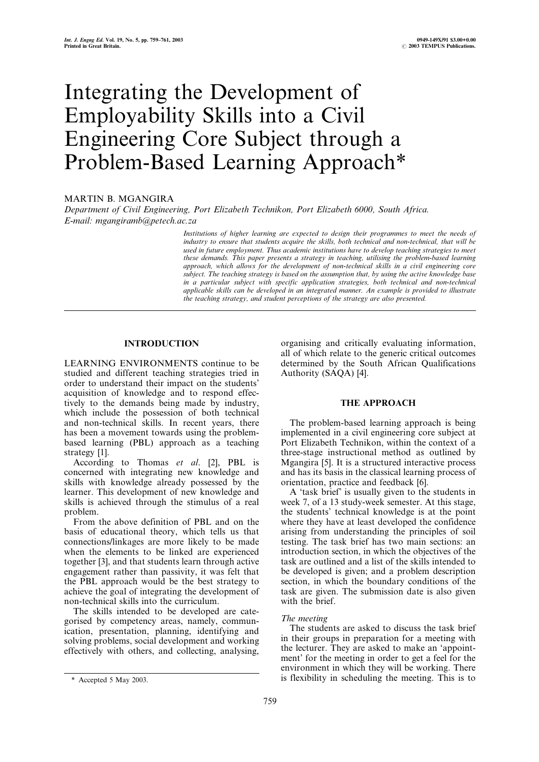# Integrating the Development of Employability Skills into a Civil Engineering Core Subject through a Problem-Based Learning Approach\*

## MARTIN B. MGANGIRA

Department of Civil Engineering, Port Elizabeth Technikon, Port Elizabeth 6000, South Africa. E-mail: mgangiramb@petech.ac.za

> Institutions of higher learning are expected to design their programmes to meet the needs of industry to ensure that students acquire the skills, both technical and non-technical, that will be used in future employment. Thus academic institutions have to develop teaching strategies to meet these demands. This paper presents a strategy in teaching, utilising the problem-based learning approach, which allows for the development of non-technical skills in a civil engineering core subject. The teaching strategy is based on the assumption that, by using the active knowledge base in a particular subject with specific application strategies, both technical and non-technical applicable skills can be developed in an integrated manner. An example is provided to illustrate the teaching strategy, and student perceptions of the strategy are also presented.

## INTRODUCTION

LEARNING ENVIRONMENTS continue to be studied and different teaching strategies tried in order to understand their impact on the students' acquisition of knowledge and to respond effectively to the demands being made by industry, which include the possession of both technical and non-technical skills. In recent years, there has been a movement towards using the problembased learning (PBL) approach as a teaching strategy [1].

According to Thomas et al. [2], PBL is concerned with integrating new knowledge and skills with knowledge already possessed by the learner. This development of new knowledge and skills is achieved through the stimulus of a real problem.

From the above definition of PBL and on the basis of educational theory, which tells us that connections/linkages are more likely to be made when the elements to be linked are experienced together [3], and that students learn through active engagement rather than passivity, it was felt that the PBL approach would be the best strategy to achieve the goal of integrating the development of non-technical skills into the curriculum.

The skills intended to be developed are categorised by competency areas, namely, communication, presentation, planning, identifying and solving problems, social development and working effectively with others, and collecting, analysing, organising and critically evaluating information, all of which relate to the generic critical outcomes determined by the South African Qualifications Authority (SAQA) [4].

### THE APPROACH

The problem-based learning approach is being implemented in a civil engineering core subject at Port Elizabeth Technikon, within the context of a three-stage instructional method as outlined by Mgangira [5]. It is a structured interactive process and has its basis in the classical learning process of orientation, practice and feedback [6].

A `task brief' is usually given to the students in week 7, of a 13 study-week semester. At this stage, the students' technical knowledge is at the point where they have at least developed the confidence arising from understanding the principles of soil testing. The task brief has two main sections: an introduction section, in which the objectives of the task are outlined and a list of the skills intended to be developed is given; and a problem description section, in which the boundary conditions of the task are given. The submission date is also given with the brief.

#### The meeting

The students are asked to discuss the task brief in their groups in preparation for a meeting with the lecturer. They are asked to make an `appointment' for the meeting in order to get a feel for the environment in which they will be working. There \* Accepted 5 May 2003. is flexibility in scheduling the meeting. This is to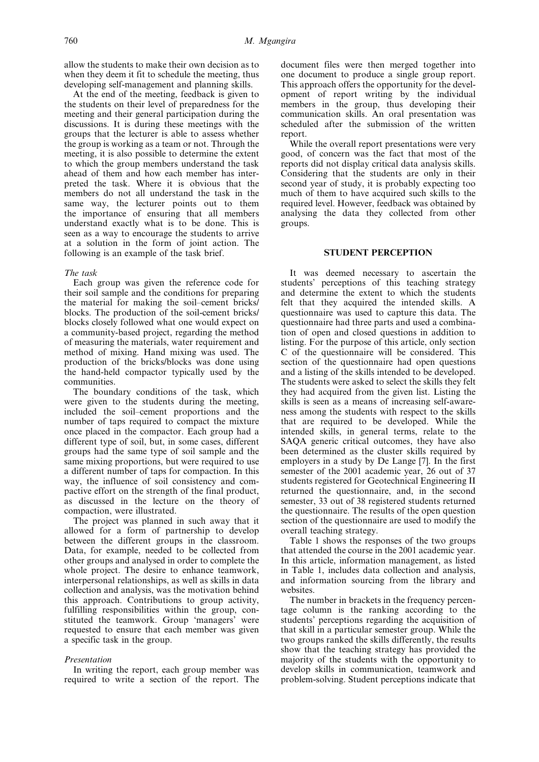allow the students to make their own decision as to when they deem it fit to schedule the meeting, thus developing self-management and planning skills.

At the end of the meeting, feedback is given to the students on their level of preparedness for the meeting and their general participation during the discussions. It is during these meetings with the groups that the lecturer is able to assess whether the group is working as a team or not. Through the meeting, it is also possible to determine the extent to which the group members understand the task ahead of them and how each member has interpreted the task. Where it is obvious that the members do not all understand the task in the same way, the lecturer points out to them the importance of ensuring that all members understand exactly what is to be done. This is seen as a way to encourage the students to arrive at a solution in the form of joint action. The following is an example of the task brief.

### The task

Each group was given the reference code for their soil sample and the conditions for preparing the material for making the soil-cement bricks/ blocks. The production of the soil-cement bricks/ blocks closely followed what one would expect on a community-based project, regarding the method of measuring the materials, water requirement and method of mixing. Hand mixing was used. The production of the bricks/blocks was done using the hand-held compactor typically used by the communities.

The boundary conditions of the task, which were given to the students during the meeting, included the soil-cement proportions and the number of taps required to compact the mixture once placed in the compactor. Each group had a different type of soil, but, in some cases, different groups had the same type of soil sample and the same mixing proportions, but were required to use a different number of taps for compaction. In this way, the influence of soil consistency and compactive effort on the strength of the final product, as discussed in the lecture on the theory of compaction, were illustrated.

The project was planned in such away that it allowed for a form of partnership to develop between the different groups in the classroom. Data, for example, needed to be collected from other groups and analysed in order to complete the whole project. The desire to enhance teamwork, interpersonal relationships, as well as skills in data collection and analysis, was the motivation behind this approach. Contributions to group activity, fulfilling responsibilities within the group, constituted the teamwork. Group 'managers' were requested to ensure that each member was given a specific task in the group.

#### Presentation

In writing the report, each group member was required to write a section of the report. The document files were then merged together into one document to produce a single group report. This approach offers the opportunity for the development of report writing by the individual members in the group, thus developing their communication skills. An oral presentation was scheduled after the submission of the written report.

While the overall report presentations were very good, of concern was the fact that most of the reports did not display critical data analysis skills. Considering that the students are only in their second year of study, it is probably expecting too much of them to have acquired such skills to the required level. However, feedback was obtained by analysing the data they collected from other groups.

## STUDENT PERCEPTION

It was deemed necessary to ascertain the students' perceptions of this teaching strategy and determine the extent to which the students felt that they acquired the intended skills. A questionnaire was used to capture this data. The questionnaire had three parts and used a combination of open and closed questions in addition to listing. For the purpose of this article, only section C of the questionnaire will be considered. This section of the questionnaire had open questions and a listing of the skills intended to be developed. The students were asked to select the skills they felt they had acquired from the given list. Listing the skills is seen as a means of increasing self-awareness among the students with respect to the skills that are required to be developed. While the intended skills, in general terms, relate to the SAQA generic critical outcomes, they have also been determined as the cluster skills required by employers in a study by De Lange [7]. In the first semester of the 2001 academic year, 26 out of 37 students registered for Geotechnical Engineering II returned the questionnaire, and, in the second semester, 33 out of 38 registered students returned the questionnaire. The results of the open question section of the questionnaire are used to modify the overall teaching strategy.

Table 1 shows the responses of the two groups that attended the course in the 2001 academic year. In this article, information management, as listed in Table 1, includes data collection and analysis, and information sourcing from the library and websites.

The number in brackets in the frequency percentage column is the ranking according to the students' perceptions regarding the acquisition of that skill in a particular semester group. While the two groups ranked the skills differently, the results show that the teaching strategy has provided the majority of the students with the opportunity to develop skills in communication, teamwork and problem-solving. Student perceptions indicate that